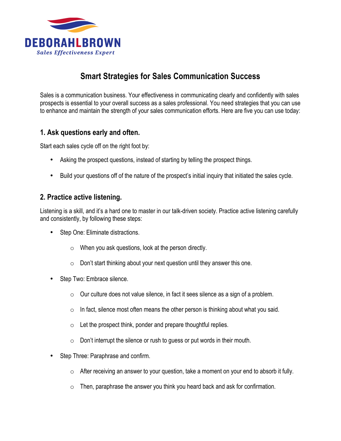

# **Smart Strategies for Sales Communication Success**

Sales is a communication business. Your effectiveness in communicating clearly and confidently with sales prospects is essential to your overall success as a sales professional. You need strategies that you can use to enhance and maintain the strength of your sales communication efforts. Here are five you can use today:

### **1. Ask questions early and often.**

Start each sales cycle off on the right foot by:

- Asking the prospect questions, instead of starting by telling the prospect things.
- Build your questions off of the nature of the prospect's initial inquiry that initiated the sales cycle.

# **2. Practice active listening.**

Listening is a skill, and it's a hard one to master in our talk-driven society. Practice active listening carefully and consistently, by following these steps:

- Step One: Eliminate distractions.
	- $\circ$  When you ask questions, look at the person directly.
	- o Don't start thinking about your next question until they answer this one.
- Step Two: Embrace silence.
	- $\circ$  Our culture does not value silence, in fact it sees silence as a sign of a problem.
	- $\circ$  In fact, silence most often means the other person is thinking about what you said.
	- $\circ$  Let the prospect think, ponder and prepare thoughtful replies.
	- $\circ$  Don't interrupt the silence or rush to guess or put words in their mouth.
- Step Three: Paraphrase and confirm.
	- $\circ$  After receiving an answer to your question, take a moment on your end to absorb it fully.
	- $\circ$  Then, paraphrase the answer you think you heard back and ask for confirmation.